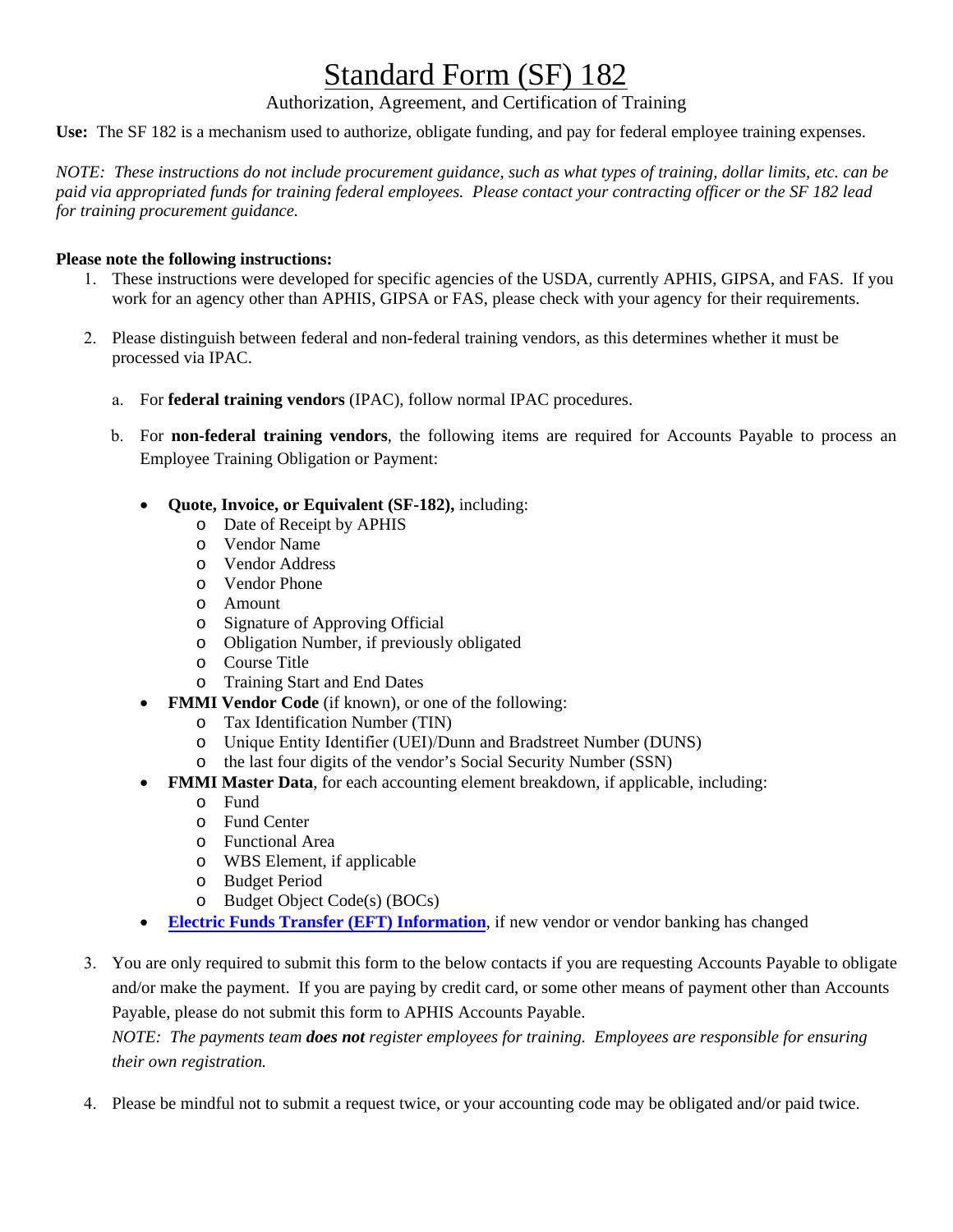## Standard Form (SF) 182

Authorization, Agreement, and Certification of Training

**Use:** The SF 182 is a mechanism used to authorize, obligate funding, and pay for federal employee training expenses.

*NOTE: These instructions do not include procurement guidance, such as what types of training, dollar limits, etc. can be paid via appropriated funds for training federal employees. Please contact your contracting officer or the SF 182 lead for training procurement guidance.* 

## **Please note the following instructions:**

- 1. These instructions were developed for specific agencies of the USDA, currently APHIS, GIPSA, and FAS. If you work for an agency other than APHIS, GIPSA or FAS, please check with your agency for their requirements.
- 2. Please distinguish between federal and non-federal training vendors, as this determines whether it must be processed via IPAC.
	- a. For **federal training vendors** (IPAC), follow normal IPAC procedures.
	- b. For **non-federal training vendors**, the following items are required for Accounts Payable to process an Employee Training Obligation or Payment:
		- **Quote, Invoice, or Equivalent (SF-182),** including:
			- o Date of Receipt by APHIS
			- o Vendor Name
			- o Vendor Address
			- o Vendor Phone
			- o Amount
			- o Signature of Approving Official
			- o Obligation Number, if previously obligated
			- o Course Title
			- o Training Start and End Dates
		- **FMMI Vendor Code** (if known), or one of the following:
			- o Tax Identification Number (TIN)
			- o Unique Entity Identifier (UEI)/Dunn and Bradstreet Number (DUNS)
			- o the last four digits of the vendor's Social Security Number (SSN)
		- **FMMI Master Data**, for each accounting element breakdown, if applicable, including:
			- o Fund
			- o Fund Center
			- o Functional Area
			- o WBS Element, if applicable
			- o Budget Period
			- o Budget Object Code(s) (BOCs)
		- **[Electric Funds Transfer \(EFT\) Information](https://www.aphis.usda.gov/aphis/ourfocus/business-services/financial-management-division/financial-operations-branch/fost/etf)**, if new vendor or vendor banking has changed
- 3. You are only required to submit this form to the below contacts if you are requesting Accounts Payable to obligate and/or make the payment. If you are paying by credit card, or some other means of payment other than Accounts Payable, please do not submit this form to APHIS Accounts Payable.

*NOTE: The payments team does not register employees for training. Employees are responsible for ensuring their own registration.*

4. Please be mindful not to submit a request twice, or your accounting code may be obligated and/or paid twice.